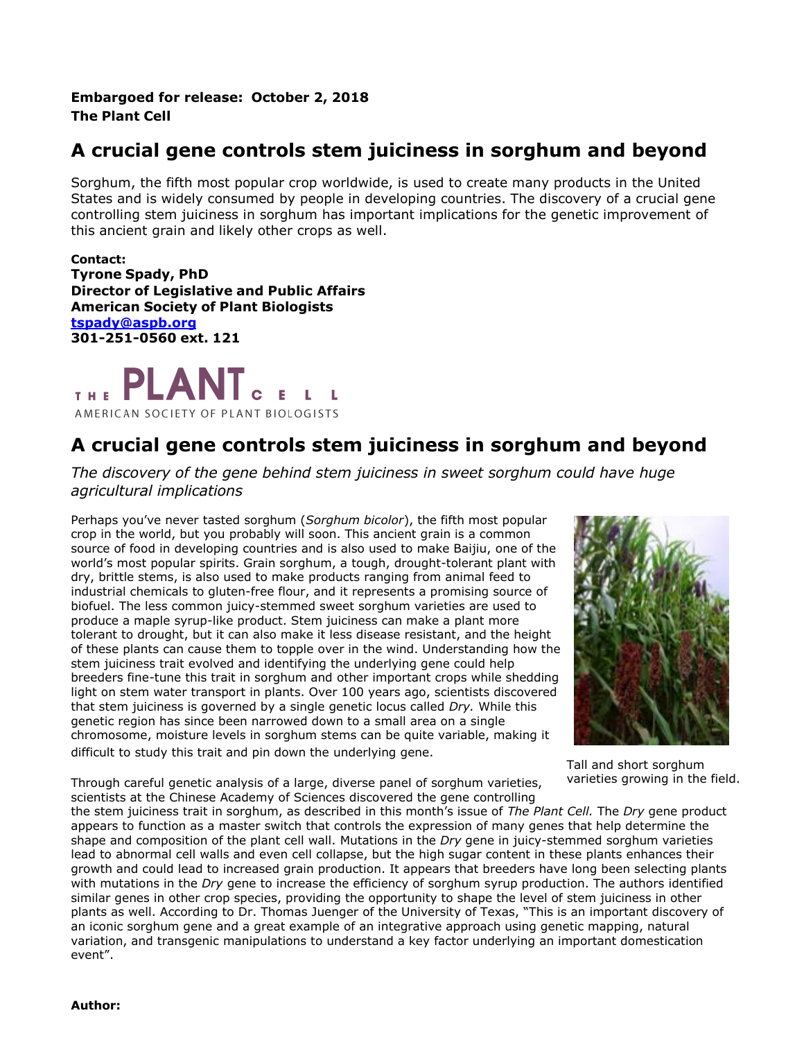## **Embargoed for release: October 2, 2018 The Plant Cell**

## **A crucial gene controls stem juiciness in sorghum and beyond**

Sorghum, the fifth most popular crop worldwide, is used to create many products in the United States and is widely consumed by people in developing countries. The discovery of a crucial gene controlling stem juiciness in sorghum has important implications for the genetic improvement of this ancient grain and likely other crops as well.

**Contact: Tyrone Spady, PhD Director of Legislative and Public Affairs American Society of Plant Biologists [tspady@aspb.org](mailto:tspady@aspb.org) 301-251-0560 ext. 121**

PLANT THE AMERICAN SOCIETY OF PLANT BIOLOGISTS

## **A crucial gene controls stem juiciness in sorghum and beyond**

*The discovery of the gene behind stem juiciness in sweet sorghum could have huge agricultural implications*

Perhaps you've never tasted sorghum (*Sorghum bicolor*), the fifth most popular crop in the world, but you probably will soon. This ancient grain is a common source of food in developing countries and is also used to make Baijiu, one of the world's most popular spirits. Grain sorghum, a tough, drought-tolerant plant with dry, brittle stems, is also used to make products ranging from animal feed to industrial chemicals to gluten-free flour, and it represents a promising source of biofuel. The less common juicy-stemmed sweet sorghum varieties are used to produce a maple syrup-like product. Stem juiciness can make a plant more tolerant to drought, but it can also make it less disease resistant, and the height of these plants can cause them to topple over in the wind. Understanding how the stem juiciness trait evolved and identifying the underlying gene could help breeders fine-tune this trait in sorghum and other important crops while shedding light on stem water transport in plants. Over 100 years ago, scientists discovered that stem juiciness is governed by a single genetic locus called *Dry.* While this genetic region has since been narrowed down to a small area on a single chromosome, moisture levels in sorghum stems can be quite variable, making it difficult to study this trait and pin down the underlying gene.



Tall and short sorghum varieties growing in the field.

Through careful genetic analysis of a large, diverse panel of sorghum varieties, scientists at the Chinese Academy of Sciences discovered the gene controlling

the stem juiciness trait in sorghum, as described in this month's issue of *The Plant Cell.* The *Dry* gene product appears to function as a master switch that controls the expression of many genes that help determine the shape and composition of the plant cell wall. Mutations in the *Dry* gene in juicy-stemmed sorghum varieties lead to abnormal cell walls and even cell collapse, but the high sugar content in these plants enhances their growth and could lead to increased grain production. It appears that breeders have long been selecting plants with mutations in the *Dry* gene to increase the efficiency of sorghum syrup production. The authors identified similar genes in other crop species, providing the opportunity to shape the level of stem juiciness in other plants as well. According to Dr. Thomas Juenger of the University of Texas, "This is an important discovery of an iconic sorghum gene and a great example of an integrative approach using genetic mapping, natural variation, and transgenic manipulations to understand a key factor underlying an important domestication event".